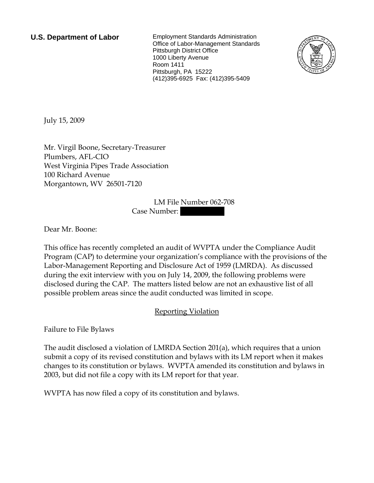**U.S. Department of Labor** Employment Standards Administration Office of Labor-Management Standards Pittsburgh District Office 1000 Liberty Avenue Room 1411 Pittsburgh, PA 15222 (412)395-6925 Fax: (412)395-5409



July 15, 2009

Mr. Virgil Boone, Secretary-Treasurer Plumbers, AFL-CIO West Virginia Pipes Trade Association 100 Richard Avenue Morgantown, WV 26501-7120

> LM File Number 062-708 Case Number:

Dear Mr. Boone:

This office has recently completed an audit of WVPTA under the Compliance Audit Program (CAP) to determine your organization's compliance with the provisions of the Labor-Management Reporting and Disclosure Act of 1959 (LMRDA). As discussed during the exit interview with you on July 14, 2009, the following problems were disclosed during the CAP. The matters listed below are not an exhaustive list of all possible problem areas since the audit conducted was limited in scope.

## Reporting Violation

Failure to File Bylaws

The audit disclosed a violation of LMRDA Section 201(a), which requires that a union submit a copy of its revised constitution and bylaws with its LM report when it makes changes to its constitution or bylaws. WVPTA amended its constitution and bylaws in 2003, but did not file a copy with its LM report for that year.

WVPTA has now filed a copy of its constitution and bylaws.